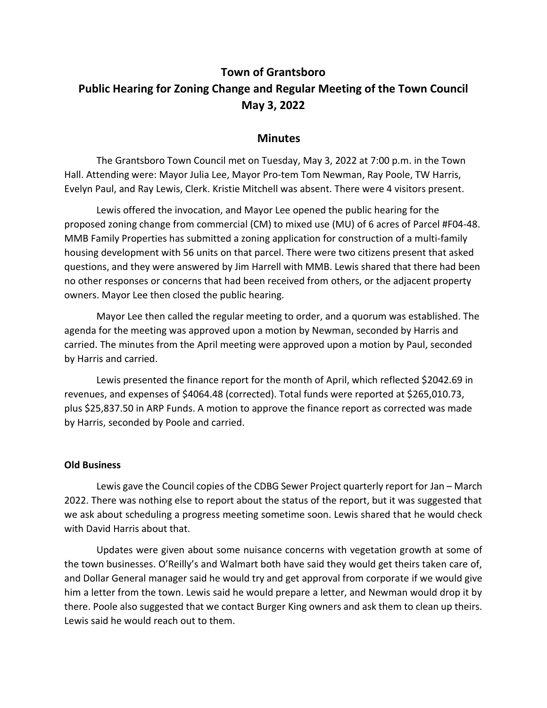## **Town of Grantsboro Public Hearing for Zoning Change and Regular Meeting of the Town Council May 3, 2022**

## **Minutes**

The Grantsboro Town Council met on Tuesday, May 3, 2022 at 7:00 p.m. in the Town Hall. Attending were: Mayor Julia Lee, Mayor Pro-tem Tom Newman, Ray Poole, TW Harris, Evelyn Paul, and Ray Lewis, Clerk. Kristie Mitchell was absent. There were 4 visitors present.

Lewis offered the invocation, and Mayor Lee opened the public hearing for the proposed zoning change from commercial (CM) to mixed use (MU) of 6 acres of Parcel #F04-48. MMB Family Properties has submitted a zoning application for construction of a multi-family housing development with 56 units on that parcel. There were two citizens present that asked questions, and they were answered by Jim Harrell with MMB. Lewis shared that there had been no other responses or concerns that had been received from others, or the adjacent property owners. Mayor Lee then closed the public hearing.

Mayor Lee then called the regular meeting to order, and a quorum was established. The agenda for the meeting was approved upon a motion by Newman, seconded by Harris and carried. The minutes from the April meeting were approved upon a motion by Paul, seconded by Harris and carried.

Lewis presented the finance report for the month of April, which reflected \$2042.69 in revenues, and expenses of \$4064.48 (corrected). Total funds were reported at \$265,010.73, plus \$25,837.50 in ARP Funds. A motion to approve the finance report as corrected was made by Harris, seconded by Poole and carried.

## **Old Business**

Lewis gave the Council copies of the CDBG Sewer Project quarterly report for Jan – March 2022. There was nothing else to report about the status of the report, but it was suggested that we ask about scheduling a progress meeting sometime soon. Lewis shared that he would check with David Harris about that.

Updates were given about some nuisance concerns with vegetation growth at some of the town businesses. O'Reilly's and Walmart both have said they would get theirs taken care of, and Dollar General manager said he would try and get approval from corporate if we would give him a letter from the town. Lewis said he would prepare a letter, and Newman would drop it by there. Poole also suggested that we contact Burger King owners and ask them to clean up theirs. Lewis said he would reach out to them.